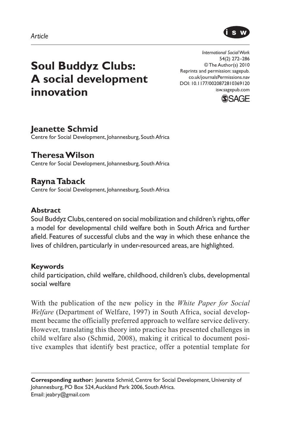

# **Soul Buddyz Clubs: A social development innovation**

*International Social Work* 54(2) 272–286 © The Author(s) 2010 Reprints and permission: sagepub. co.uk/journalsPermissions.nav DOI: 10.1177/0020872810369120 isw.sagepub.com



# **Jeanette Schmid**

Centre for Social Development, Johannesburg, South Africa

**Theresa Wilson**  Centre for Social Development, Johannesburg, South Africa

# **Rayna Taback**

Centre for Social Development, Johannesburg, South Africa

#### **Abstract**

Soul Buddyz Clubs, centered on social mobilization and children's rights, offer a model for developmental child welfare both in South Africa and further afield. Features of successful clubs and the way in which these enhance the lives of children, particularly in under-resourced areas, are highlighted.

#### **Keywords**

child participation, child welfare, childhood, children's clubs, developmental social welfare

With the publication of the new policy in the *White Paper for Social Welfare* (Department of Welfare, 1997) in South Africa, social development became the officially preferred approach to welfare service delivery. However, translating this theory into practice has presented challenges in child welfare also (Schmid, 2008), making it critical to document positive examples that identify best practice, offer a potential template for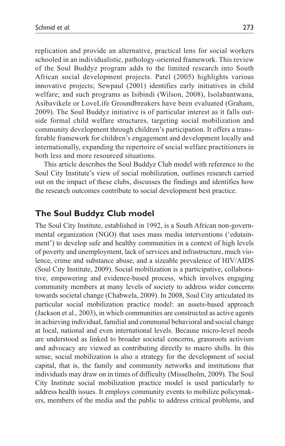replication and provide an alternative, practical lens for social workers schooled in an individualistic, pathology-oriented framework. This review of the Soul Buddyz program adds to the limited research into South African social development projects. Patel (2005) highlights various innovative projects; Sewpaul (2001) identifies early initiatives in child welfare; and such programs as Isibindi (Wilson, 2008), Isolabantwana, Asibavikele or LoveLife Groundbreakers have been evaluated (Graham, 2009). The Soul Buddyz initiative is of particular interest as it falls outside formal child welfare structures, targeting social mobilization and community development through children's participation. It offers a transferable framework for children's engagement and development locally and internationally, expanding the repertoire of social welfare practitioners in both less and more resourced situations.

This article describes the Soul Buddyz Club model with reference to the Soul City Institute's view of social mobilization, outlines research carried out on the impact of these clubs, discusses the findings and identifies how the research outcomes contribute to social development best practice.

# **The Soul Buddyz Club model**

The Soul City Institute, established in 1992, is a South African non-governmental organization (NGO) that uses mass media interventions ('edutainment') to develop safe and healthy communities in a context of high levels of poverty and unemployment, lack of services and infrastructure, much violence, crime and substance abuse, and a sizeable prevalence of HIV/AIDS (Soul City Institute, 2009). Social mobilization is a participative, collaborative, empowering and evidence-based process, which involves engaging community members at many levels of society to address wider concerns towards societal change (Chabwela, 2009). In 2008, Soul City articulated its particular social mobilization practice model: an assets-based approach (Jackson et al., 2003), in which communities are constructed as active agents in achieving individual, familial and communal behavioral and social change at local, national and even international levels. Because micro-level needs are understood as linked to broader societal concerns, grassroots activism and advocacy are viewed as contributing directly to macro shifts. In this sense, social mobilization is also a strategy for the development of social capital, that is, the family and community networks and institutions that individuals may draw on in times of difficulty (Misselholm, 2009). The Soul City Institute social mobilization practice model is used particularly to address health issues. It employs community events to mobilize policymakers, members of the media and the public to address critical problems, and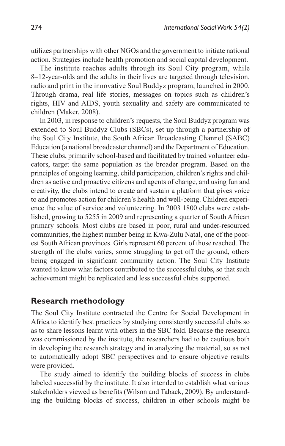utilizes partnerships with other NGOs and the government to initiate national action. Strategies include health promotion and social capital development.

The institute reaches adults through its Soul City program, while 8–12-year-olds and the adults in their lives are targeted through television, radio and print in the innovative Soul Buddyz program, launched in 2000. Through drama, real life stories, messages on topics such as children's rights, HIV and AIDS, youth sexuality and safety are communicated to children (Maker, 2008).

In 2003, in response to children's requests, the Soul Buddyz program was extended to Soul Buddyz Clubs (SBCs), set up through a partnership of the Soul City Institute, the South African Broadcasting Channel (SABC) Education (a national broadcaster channel) and the Department of Education. These clubs, primarily school-based and facilitated by trained volunteer educators, target the same population as the broader program. Based on the principles of ongoing learning, child participation, children's rights and children as active and proactive citizens and agents of change, and using fun and creativity, the clubs intend to create and sustain a platform that gives voice to and promotes action for children's health and well-being. Children experience the value of service and volunteering. In 2003 1800 clubs were established, growing to 5255 in 2009 and representing a quarter of South African primary schools. Most clubs are based in poor, rural and under-resourced communities, the highest number being in Kwa-Zulu Natal, one of the poorest South African provinces. Girls represent 60 percent of those reached. The strength of the clubs varies, some struggling to get off the ground, others being engaged in significant community action. The Soul City Institute wanted to know what factors contributed to the successful clubs, so that such achievement might be replicated and less successful clubs supported.

## **Research methodology**

The Soul City Institute contracted the Centre for Social Development in Africa to identify best practices by studying consistently successful clubs so as to share lessons learnt with others in the SBC fold. Because the research was commissioned by the institute, the researchers had to be cautious both in developing the research strategy and in analyzing the material, so as not to automatically adopt SBC perspectives and to ensure objective results were provided.

The study aimed to identify the building blocks of success in clubs labeled successful by the institute. It also intended to establish what various stakeholders viewed as benefits (Wilson and Taback, 2009). By understanding the building blocks of success, children in other schools might be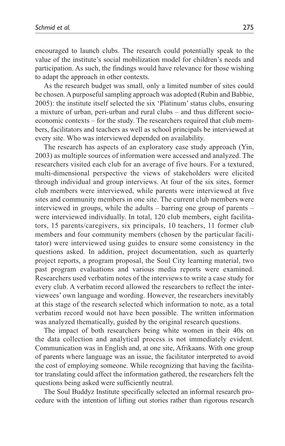encouraged to launch clubs. The research could potentially speak to the value of the institute's social mobilization model for children's needs and participation. As such, the findings would have relevance for those wishing to adapt the approach in other contexts.

As the research budget was small, only a limited number of sites could be chosen. A purposeful sampling approach was adopted (Rubin and Babbie, 2005): the institute itself selected the six 'Platinum' status clubs, ensuring a mixture of urban, peri-urban and rural clubs – and thus different socioeconomic contexts – for the study. The researchers required that club members, facilitators and teachers as well as school principals be interviewed at every site. Who was interviewed depended on availability.

The research has aspects of an exploratory case study approach (Yin, 2003) as multiple sources of information were accessed and analyzed. The researchers visited each club for an average of five hours. For a textured, multi-dimensional perspective the views of stakeholders were elicited through individual and group interviews. At four of the six sites, former club members were interviewed, while parents were interviewed at five sites and community members in one site. The current club members were interviewed in groups, while the adults – barring one group of parents – were interviewed individually. In total, 120 club members, eight facilitators, 15 parents/caregivers, six principals, 10 teachers, 11 former club members and four community members (chosen by the particular facilitator) were interviewed using guides to ensure some consistency in the questions asked. In addition, project documentation, such as quarterly project reports, a program proposal, the Soul City learning material, two past program evaluations and various media reports were examined. Researchers used verbatim notes of the interviews to write a case study for every club. A verbatim record allowed the researchers to reflect the interviewees' own language and wording. However, the researchers inevitably at this stage of the research selected which information to note, as a total verbatim record would not have been possible. The written information was analyzed thematically, guided by the original research questions.

The impact of both researchers being white women in their 40s on the data collection and analytical process is not immediately evident. Communication was in English and, at one site, Afrikaans. With one group of parents where language was an issue, the facilitator interpreted to avoid the cost of employing someone. While recognizing that having the facilitator translating could affect the information gathered, the researchers felt the questions being asked were sufficiently neutral.

The Soul Buddyz Institute specifically selected an informal research procedure with the intention of lifting out stories rather than rigorous research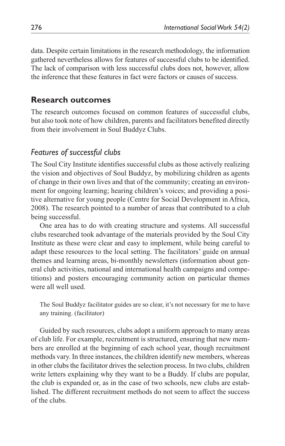data. Despite certain limitations in the research methodology, the information gathered nevertheless allows for features of successful clubs to be identified. The lack of comparison with less successful clubs does not, however, allow the inference that these features in fact were factors or causes of success.

## **Research outcomes**

The research outcomes focused on common features of successful clubs, but also took note of how children, parents and facilitators benefited directly from their involvement in Soul Buddyz Clubs.

# *Features of successful clubs*

The Soul City Institute identifies successful clubs as those actively realizing the vision and objectives of Soul Buddyz, by mobilizing children as agents of change in their own lives and that of the community; creating an environment for ongoing learning; hearing children's voices; and providing a positive alternative for young people (Centre for Social Development in Africa, 2008). The research pointed to a number of areas that contributed to a club being successful.

One area has to do with creating structure and systems. All successful clubs researched took advantage of the materials provided by the Soul City Institute as these were clear and easy to implement, while being careful to adapt these resources to the local setting. The facilitators' guide on annual themes and learning areas, bi-monthly newsletters (information about general club activities, national and international health campaigns and competitions) and posters encouraging community action on particular themes were all well used.

The Soul Buddyz facilitator guides are so clear, it's not necessary for me to have any training. (facilitator)

Guided by such resources, clubs adopt a uniform approach to many areas of club life. For example, recruitment is structured, ensuring that new members are enrolled at the beginning of each school year, though recruitment methods vary. In three instances, the children identify new members, whereas in other clubs the facilitator drives the selection process. In two clubs, children write letters explaining why they want to be a Buddy. If clubs are popular, the club is expanded or, as in the case of two schools, new clubs are established. The different recruitment methods do not seem to affect the success of the clubs.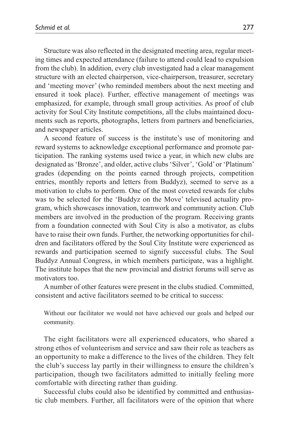Structure was also reflected in the designated meeting area, regular meeting times and expected attendance (failure to attend could lead to expulsion from the club). In addition, every club investigated had a clear management structure with an elected chairperson, vice-chairperson, treasurer, secretary and 'meeting mover' (who reminded members about the next meeting and ensured it took place). Further, effective management of meetings was emphasized, for example, through small group activities. As proof of club activity for Soul City Institute competitions, all the clubs maintained documents such as reports, photographs, letters from partners and beneficiaries, and newspaper articles.

A second feature of success is the institute's use of monitoring and reward systems to acknowledge exceptional performance and promote participation. The ranking systems used twice a year, in which new clubs are designated as 'Bronze', and older, active clubs 'Silver', 'Gold' or 'Platinum' grades (depending on the points earned through projects, competition entries, monthly reports and letters from Buddyz), seemed to serve as a motivation to clubs to perform. One of the most coveted rewards for clubs was to be selected for the 'Buddyz on the Move' televised actuality program, which showcases innovation, teamwork and community action. Club members are involved in the production of the program. Receiving grants from a foundation connected with Soul City is also a motivator, as clubs have to raise their own funds. Further, the networking opportunities for children and facilitators offered by the Soul City Institute were experienced as rewards and participation seemed to signify successful clubs. The Soul Buddyz Annual Congress, in which members participate, was a highlight. The institute hopes that the new provincial and district forums will serve as motivators too.

A number of other features were present in the clubs studied. Committed, consistent and active facilitators seemed to be critical to success:

Without our facilitator we would not have achieved our goals and helped our community.

The eight facilitators were all experienced educators, who shared a strong ethos of volunteerism and service and saw their role as teachers as an opportunity to make a difference to the lives of the children. They felt the club's success lay partly in their willingness to ensure the children's participation, though two facilitators admitted to initially feeling more comfortable with directing rather than guiding.

Successful clubs could also be identified by committed and enthusiastic club members. Further, all facilitators were of the opinion that where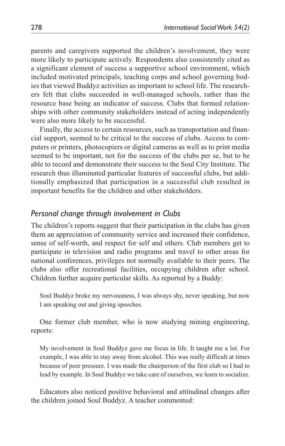parents and caregivers supported the children's involvement, they were more likely to participate actively. Respondents also consistently cited as a significant element of success a supportive school environment, which included motivated principals, teaching corps and school governing bodies that viewed Buddyz activities as important to school life. The researchers felt that clubs succeeded in well-managed schools, rather than the resource base being an indicator of success. Clubs that formed relationships with other community stakeholders instead of acting independently were also more likely to be successful.

Finally, the access to certain resources, such as transportation and financial support, seemed to be critical to the success of clubs. Access to computers or printers, photocopiers or digital cameras as well as to print media seemed to be important, not for the success of the clubs per se, but to be able to record and demonstrate their success to the Soul City Institute. The research thus illuminated particular features of successful clubs, but additionally emphasized that participation in a successful club resulted in important benefits for the children and other stakeholders.

## *Personal change through involvement in Clubs*

The children's reports suggest that their participation in the clubs has given them an appreciation of community service and increased their confidence, sense of self-worth, and respect for self and others. Club members get to participate in television and radio programs and travel to other areas for national conferences, privileges not normally available to their peers. The clubs also offer recreational facilities, occupying children after school. Children further acquire particular skills. As reported by a Buddy:

Soul Buddyz broke my nervousness, I was always shy, never speaking, but now I am speaking out and giving speeches.

One former club member, who is now studying mining engineering, reports:

My involvement in Soul Buddyz gave me focus in life. It taught me a lot. For example, I was able to stay away from alcohol. This was really difficult at times because of peer pressure. I was made the chairperson of the first club so I had to lead by example. In Soul Buddyz we take care of ourselves, we learn to socialize.

Educators also noticed positive behavioral and attitudinal changes after the children joined Soul Buddyz. A teacher commented: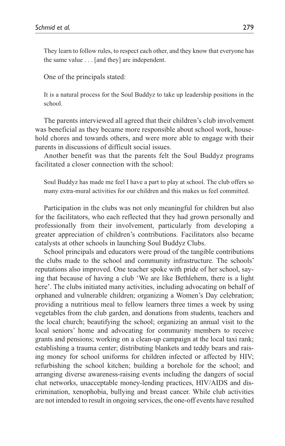They learn to follow rules, to respect each other, and they know that everyone has the same value . . . [and they] are independent.

One of the principals stated:

It is a natural process for the Soul Buddyz to take up leadership positions in the school.

The parents interviewed all agreed that their children's club involvement was beneficial as they became more responsible about school work, household chores and towards others, and were more able to engage with their parents in discussions of difficult social issues.

Another benefit was that the parents felt the Soul Buddyz programs facilitated a closer connection with the school:

Soul Buddyz has made me feel I have a part to play at school. The club offers so many extra-mural activities for our children and this makes us feel committed.

Participation in the clubs was not only meaningful for children but also for the facilitators, who each reflected that they had grown personally and professionally from their involvement, particularly from developing a greater appreciation of children's contributions. Facilitators also became catalysts at other schools in launching Soul Buddyz Clubs.

School principals and educators were proud of the tangible contributions the clubs made to the school and community infrastructure. The schools' reputations also improved. One teacher spoke with pride of her school, saying that because of having a club 'We are like Bethlehem, there is a light here'. The clubs initiated many activities, including advocating on behalf of orphaned and vulnerable children; organizing a Women's Day celebration; providing a nutritious meal to fellow learners three times a week by using vegetables from the club garden, and donations from students, teachers and the local church; beautifying the school; organizing an annual visit to the local seniors' home and advocating for community members to receive grants and pensions; working on a clean-up campaign at the local taxi rank; establishing a trauma center; distributing blankets and teddy bears and raising money for school uniforms for children infected or affected by HIV; refurbishing the school kitchen; building a borehole for the school; and arranging diverse awareness-raising events including the dangers of social chat networks, unacceptable money-lending practices, HIV/AIDS and discrimination, xenophobia, bullying and breast cancer. While club activities are not intended to result in ongoing services, the one-off events have resulted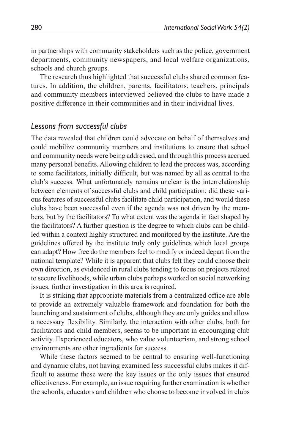in partnerships with community stakeholders such as the police, government departments, community newspapers, and local welfare organizations, schools and church groups.

The research thus highlighted that successful clubs shared common features. In addition, the children, parents, facilitators, teachers, principals and community members interviewed believed the clubs to have made a positive difference in their communities and in their individual lives.

# *Lessons from successful clubs*

The data revealed that children could advocate on behalf of themselves and could mobilize community members and institutions to ensure that school and community needs were being addressed, and through this process accrued many personal benefits. Allowing children to lead the process was, according to some facilitators, initially difficult, but was named by all as central to the club's success. What unfortunately remains unclear is the interrelationship between elements of successful clubs and child participation: did these various features of successful clubs facilitate child participation, and would these clubs have been successful even if the agenda was not driven by the members, but by the facilitators? To what extent was the agenda in fact shaped by the facilitators? A further question is the degree to which clubs can be childled within a context highly structured and monitored by the institute. Are the guidelines offered by the institute truly only guidelines which local groups can adapt? How free do the members feel to modify or indeed depart from the national template? While it is apparent that clubs felt they could choose their own direction, as evidenced in rural clubs tending to focus on projects related to secure livelihoods, while urban clubs perhaps worked on social networking issues, further investigation in this area is required.

It is striking that appropriate materials from a centralized office are able to provide an extremely valuable framework and foundation for both the launching and sustainment of clubs, although they are only guides and allow a necessary flexibility. Similarly, the interaction with other clubs, both for facilitators and child members, seems to be important in encouraging club activity. Experienced educators, who value volunteerism, and strong school environments are other ingredients for success.

While these factors seemed to be central to ensuring well-functioning and dynamic clubs, not having examined less successful clubs makes it difficult to assume these were the key issues or the only issues that ensured effectiveness. For example, an issue requiring further examination is whether the schools, educators and children who choose to become involved in clubs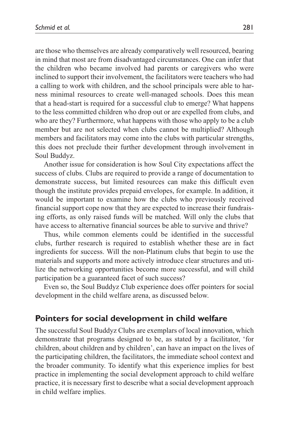are those who themselves are already comparatively well resourced, bearing in mind that most are from disadvantaged circumstances. One can infer that the children who became involved had parents or caregivers who were inclined to support their involvement, the facilitators were teachers who had a calling to work with children, and the school principals were able to harness minimal resources to create well-managed schools. Does this mean that a head-start is required for a successful club to emerge? What happens to the less committed children who drop out or are expelled from clubs, and who are they? Furthermore, what happens with those who apply to be a club member but are not selected when clubs cannot be multiplied? Although members and facilitators may come into the clubs with particular strengths, this does not preclude their further development through involvement in Soul Buddyz.

Another issue for consideration is how Soul City expectations affect the success of clubs. Clubs are required to provide a range of documentation to demonstrate success, but limited resources can make this difficult even though the institute provides prepaid envelopes, for example. In addition, it would be important to examine how the clubs who previously received financial support cope now that they are expected to increase their fundraising efforts, as only raised funds will be matched. Will only the clubs that have access to alternative financial sources be able to survive and thrive?

Thus, while common elements could be identified in the successful clubs, further research is required to establish whether these are in fact ingredients for success. Will the non-Platinum clubs that begin to use the materials and supports and more actively introduce clear structures and utilize the networking opportunities become more successful, and will child participation be a guaranteed facet of such success?

Even so, the Soul Buddyz Club experience does offer pointers for social development in the child welfare arena, as discussed below.

## **Pointers for social development in child welfare**

The successful Soul Buddyz Clubs are exemplars of local innovation, which demonstrate that programs designed to be, as stated by a facilitator, 'for children, about children and by children', can have an impact on the lives of the participating children, the facilitators, the immediate school context and the broader community. To identify what this experience implies for best practice in implementing the social development approach to child welfare practice, it is necessary first to describe what a social development approach in child welfare implies.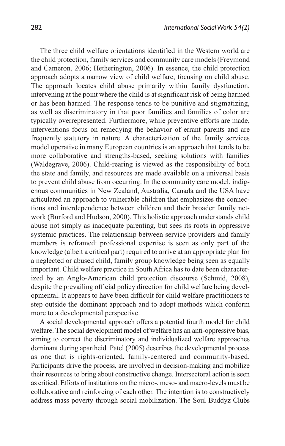The three child welfare orientations identified in the Western world are the child protection, family services and community care models (Freymond and Cameron, 2006; Hetherington, 2006). In essence, the child protection approach adopts a narrow view of child welfare, focusing on child abuse. The approach locates child abuse primarily within family dysfunction, intervening at the point where the child is at significant risk of being harmed or has been harmed. The response tends to be punitive and stigmatizing, as well as discriminatory in that poor families and families of color are typically overrepresented. Furthermore, while preventive efforts are made, interventions focus on remedying the behavior of errant parents and are frequently statutory in nature. A characterization of the family services model operative in many European countries is an approach that tends to be more collaborative and strengths-based, seeking solutions with families (Waldegrave, 2006). Child-rearing is viewed as the responsibility of both the state and family, and resources are made available on a universal basis to prevent child abuse from occurring. In the community care model, indigenous communities in New Zealand, Australia, Canada and the USA have articulated an approach to vulnerable children that emphasizes the connections and interdependence between children and their broader family network (Burford and Hudson, 2000). This holistic approach understands child abuse not simply as inadequate parenting, but sees its roots in oppressive systemic practices. The relationship between service providers and family members is reframed: professional expertise is seen as only part of the knowledge (albeit a critical part) required to arrive at an appropriate plan for a neglected or abused child, family group knowledge being seen as equally important. Child welfare practice in South Africa has to date been characterized by an Anglo-American child protection discourse (Schmid, 2008), despite the prevailing official policy direction for child welfare being developmental. It appears to have been difficult for child welfare practitioners to step outside the dominant approach and to adopt methods which conform more to a developmental perspective.

A social developmental approach offers a potential fourth model for child welfare. The social development model of welfare has an anti-oppressive bias, aiming to correct the discriminatory and individualized welfare approaches dominant during apartheid. Patel (2005) describes the developmental process as one that is rights-oriented, family-centered and community-based. Participants drive the process, are involved in decision-making and mobilize their resources to bring about constructive change. Intersectoral action is seen as critical. Efforts of institutions on the micro-, meso- and macro-levels must be collaborative and reinforcing of each other. The intention is to constructively address mass poverty through social mobilization. The Soul Buddyz Clubs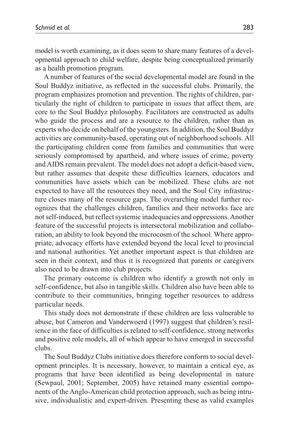model is worth examining, as it does seem to share many features of a developmental approach to child welfare, despite being conceptualized primarily as a health promotion program.

A number of features of the social developmental model are found in the Soul Buddyz initiative, as reflected in the successful clubs. Primarily, the program emphasizes promotion and prevention. The rights of children, particularly the right of children to participate in issues that affect them, are core to the Soul Buddyz philosophy. Facilitators are constructed as adults who guide the process and are a resource to the children, rather than as experts who decide on behalf of the youngsters. In addition, the Soul Buddyz activities are community-based, operating out of neighborhood schools. All the participating children come from families and communities that were seriously compromised by apartheid, and where issues of crime, poverty and AIDS remain prevalent. The model does not adopt a deficit-based view, but rather assumes that despite these difficulties learners, educators and communities have assets which can be mobilized. These clubs are not expected to have all the resources they need, and the Soul City infrastructure closes many of the resource gaps. The overarching model further recognizes that the challenges children, families and their networks face are not self-induced, but reflect systemic inadequacies and oppressions. Another feature of the successful projects is intersectoral mobilization and collaboration, an ability to look beyond the microcosm of the school. Where appropriate, advocacy efforts have extended beyond the local level to provincial and national authorities. Yet another important aspect is that children are seen in their context, and thus it is recognized that parents or caregivers also need to be drawn into club projects.

The primary outcome is children who identify a growth not only in self-confidence, but also in tangible skills. Children also have been able to contribute to their communities, bringing together resources to address particular needs.

This study does not demonstrate if these children are less vulnerable to abuse, but Cameron and Vanderwoerd (1997) suggest that children's resilience in the face of difficulties is related to self-confidence, strong networks and positive role models, all of which appear to have emerged in successful clubs.

The Soul Buddyz Clubs initiative does therefore conform to social development principles. It is necessary, however, to maintain a critical eye, as programs that have been identified as being developmental in nature (Sewpaul, 2001; September, 2005) have retained many essential components of the Anglo-American child protection approach, such as being intrusive, individualistic and expert-driven. Presenting these as valid examples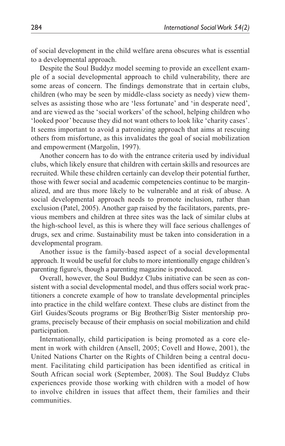of social development in the child welfare arena obscures what is essential to a developmental approach.

Despite the Soul Buddyz model seeming to provide an excellent example of a social developmental approach to child vulnerability, there are some areas of concern. The findings demonstrate that in certain clubs, children (who may be seen by middle-class society as needy) view themselves as assisting those who are 'less fortunate' and 'in desperate need', and are viewed as the 'social workers' of the school, helping children who 'looked poor' because they did not want others to look like 'charity cases'. It seems important to avoid a patronizing approach that aims at rescuing others from misfortune, as this invalidates the goal of social mobilization and empowerment (Margolin, 1997).

Another concern has to do with the entrance criteria used by individual clubs, which likely ensure that children with certain skills and resources are recruited. While these children certainly can develop their potential further, those with fewer social and academic competencies continue to be marginalized, and are thus more likely to be vulnerable and at risk of abuse. A social developmental approach needs to promote inclusion, rather than exclusion (Patel, 2005). Another gap raised by the facilitators, parents, previous members and children at three sites was the lack of similar clubs at the high-school level, as this is where they will face serious challenges of drugs, sex and crime. Sustainability must be taken into consideration in a developmental program.

Another issue is the family-based aspect of a social developmental approach. It would be useful for clubs to more intentionally engage children's parenting figure/s, though a parenting magazine is produced.

Overall, however, the Soul Buddyz Clubs initiative can be seen as consistent with a social developmental model, and thus offers social work practitioners a concrete example of how to translate developmental principles into practice in the child welfare context. These clubs are distinct from the Girl Guides/Scouts programs or Big Brother/Big Sister mentorship programs, precisely because of their emphasis on social mobilization and child participation.

Internationally, child participation is being promoted as a core element in work with children (Ansell, 2005; Covell and Howe, 2001), the United Nations Charter on the Rights of Children being a central document. Facilitating child participation has been identified as critical in South African social work (September, 2008). The Soul Buddyz Clubs experiences provide those working with children with a model of how to involve children in issues that affect them, their families and their communities.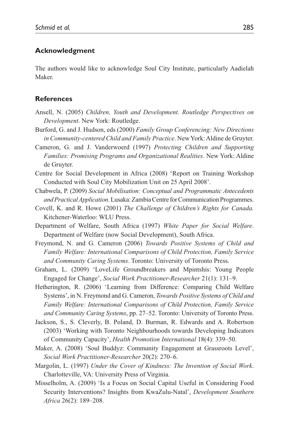#### **Acknowledgment**

The authors would like to acknowledge Soul City Institute, particularly Aadielah Maker.

#### **References**

- Ansell, N. (2005) *Children, Youth and Development. Routledge Perspectives on Development*. New York: Routledge.
- Burford, G. and J. Hudson, eds (2000) *Family Group Conferencing: New Directions in Community-centered Child and Family Practice*. New York: Aldine de Gruyter.
- Cameron, G. and J. Vanderwoerd (1997) *Protecting Children and Supporting Families: Promising Programs and Organizational Realities*. New York: Aldine de Gruyter.
- Centre for Social Development in Africa (2008) 'Report on Training Workshop Conducted with Soul City Mobilization Unit on 25 April 2008'.
- Chabwela, P. (2009) *Social Mobilisation: Conceptual and Programmatic Antecedents and Practical Application*. Lusaka: Zambia Centre for Communication Programmes.
- Covell, K. and R. Howe (2001) *The Challenge of Children's Rights for Canada.* Kitchener-Waterloo: WLU Press.
- Department of Welfare, South Africa (1997) *White Paper for Social Welfare*. Department of Welfare (now Social Development), South Africa.
- Freymond, N. and G. Cameron (2006) *Towards Positive Systems of Child and Family Welfare: International Comparisons of Child Protection, Family Service and Community Caring Systems*. Toronto: University of Toronto Press.
- Graham, L. (2009) 'LoveLife Groundbreakers and Mpintshis: Young People Engaged for Change', *Social Work Practitioner-Researcher* 21(1): 131–9.
- Hetherington, R. (2006) 'Learning from Difference: Comparing Child Welfare Systems', in N. Freymond and G. Cameron, *Towards Positive Systems of Child and Family Welfare: International Comparisons of Child Protection, Family Service and Community Caring Systems*, pp. 27–52. Toronto: University of Toronto Press.
- Jackson, S., S. Cleverly, B. Poland, D. Burman, R. Edwards and A. Robertson (2003) 'Working with Toronto Neighbourhoods towards Developing Indicators of Community Capacity', *Health Promotion International* 18(4): 339–50.
- Maker, A. (2008) 'Soul Buddyz: Community Engagement at Grassroots Level', *Social Work Practitioner-Researcher* 20(2): 270–6.
- Margolin, L. (1997) *Under the Cover of Kindness: The Invention of Social Work*. Charlotteville, VA: University Press of Virginia.
- Misselholm, A. (2009) 'Is a Focus on Social Capital Useful in Considering Food Security Interventions? Insights from KwaZulu-Natal', *Development Southern Africa* 26(2): 189–208.